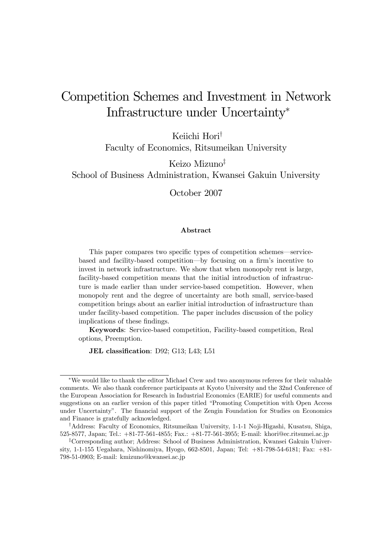# Competition Schemes and Investment in Network Infrastructure under Uncertainty<sup>∗</sup>

Keiichi Hori† Faculty of Economics, Ritsumeikan University

Keizo Mizuno‡

School of Business Administration, Kwansei Gakuin University

October 2007

#### Abstract

This paper compares two specific types of competition schemes–servicebased and facility-based competition–by focusing on a firm's incentive to invest in network infrastructure. We show that when monopoly rent is large, facility-based competition means that the initial introduction of infrastructure is made earlier than under service-based competition. However, when monopoly rent and the degree of uncertainty are both small, service-based competition brings about an earlier initial introduction of infrastructure than under facility-based competition. The paper includes discussion of the policy implications of these findings.

Keywords: Service-based competition, Facility-based competition, Real options, Preemption.

JEL classification: D92; G13; L43; L51

<sup>∗</sup>We would like to thank the editor Michael Crew and two anonymous referees for their valuable comments. We also thank conference participants at Kyoto University and the 32nd Conference of the European Association for Research in Industrial Economics (EARIE) for useful comments and suggestions on an earlier version of this paper titled "Promoting Competition with Open Access under Uncertainty". The financial support of the Zengin Foundation for Studies on Economics and Finance is gratefully acknowledged.

<sup>†</sup>Address: Faculty of Economics, Ritsumeikan University, 1-1-1 Noji-Higashi, Kusatsu, Shiga, 525-8577, Japan; Tel.: +81-77-561-4855; Fax.: +81-77-561-3955; E-mail: khori@ec.ritsumei.ac.jp

<sup>‡</sup>Corresponding author; Address: School of Business Administration, Kwansei Gakuin University, 1-1-155 Uegahara, Nishinomiya, Hyogo, 662-8501, Japan; Tel: +81-798-54-6181; Fax: +81- 798-51-0903; E-mail: kmizuno@kwansei.ac.jp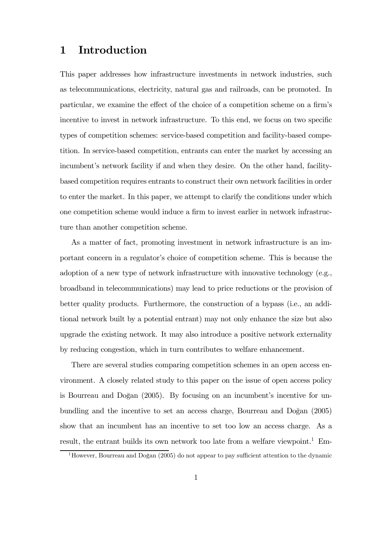# 1 Introduction

This paper addresses how infrastructure investments in network industries, such as telecommunications, electricity, natural gas and railroads, can be promoted. In particular, we examine the effect of the choice of a competition scheme on a firm's incentive to invest in network infrastructure. To this end, we focus on two specific types of competition schemes: service-based competition and facility-based competition. In service-based competition, entrants can enter the market by accessing an incumbent's network facility if and when they desire. On the other hand, facilitybased competition requires entrants to construct their own network facilities in order to enter the market. In this paper, we attempt to clarify the conditions under which one competition scheme would induce a firm to invest earlier in network infrastructure than another competition scheme.

As a matter of fact, promoting investment in network infrastructure is an important concern in a regulator's choice of competition scheme. This is because the adoption of a new type of network infrastructure with innovative technology (e.g., broadband in telecommunications) may lead to price reductions or the provision of better quality products. Furthermore, the construction of a bypass (i.e., an additional network built by a potential entrant) may not only enhance the size but also upgrade the existing network. It may also introduce a positive network externality by reducing congestion, which in turn contributes to welfare enhancement.

There are several studies comparing competition schemes in an open access environment. A closely related study to this paper on the issue of open access policy is Bourreau and Doğan  $(2005)$ . By focusing on an incumbent's incentive for unbundling and the incentive to set an access charge, Bourreau and Doğan  $(2005)$ show that an incumbent has an incentive to set too low an access charge. As a result, the entrant builds its own network too late from a welfare viewpoint.<sup>1</sup> Em-

<sup>&</sup>lt;sup>1</sup>However, Bourreau and Doğan  $(2005)$  do not appear to pay sufficient attention to the dynamic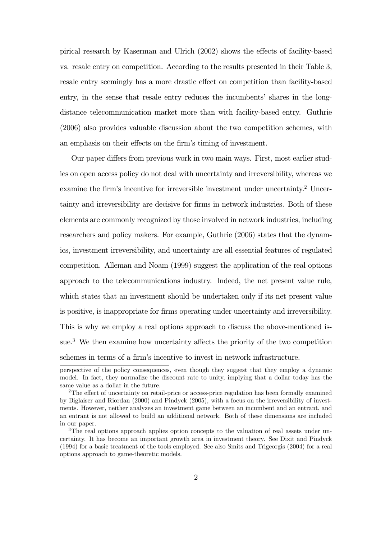pirical research by Kaserman and Ulrich (2002) shows the effects of facility-based vs. resale entry on competition. According to the results presented in their Table 3, resale entry seemingly has a more drastic effect on competition than facility-based entry, in the sense that resale entry reduces the incumbents' shares in the longdistance telecommunication market more than with facility-based entry. Guthrie (2006) also provides valuable discussion about the two competition schemes, with an emphasis on their effects on the firm's timing of investment.

Our paper differs from previous work in two main ways. First, most earlier studies on open access policy do not deal with uncertainty and irreversibility, whereas we examine the firm's incentive for irreversible investment under uncertainty.<sup>2</sup> Uncertainty and irreversibility are decisive for firms in network industries. Both of these elements are commonly recognized by those involved in network industries, including researchers and policy makers. For example, Guthrie (2006) states that the dynamics, investment irreversibility, and uncertainty are all essential features of regulated competition. Alleman and Noam (1999) suggest the application of the real options approach to the telecommunications industry. Indeed, the net present value rule, which states that an investment should be undertaken only if its net present value is positive, is inappropriate for firms operating under uncertainty and irreversibility. This is why we employ a real options approach to discuss the above-mentioned issue.<sup>3</sup> We then examine how uncertainty affects the priority of the two competition schemes in terms of a firm's incentive to invest in network infrastructure.

perspective of the policy consequences, even though they suggest that they employ a dynamic model. In fact, they normalize the discount rate to unity, implying that a dollar today has the same value as a dollar in the future.

<sup>&</sup>lt;sup>2</sup>The effect of uncertainty on retail-price or access-price regulation has been formally examined by Biglaiser and Riordan (2000) and Pindyck (2005), with a focus on the irreversibility of investments. However, neither analyzes an investment game between an incumbent and an entrant, and an entrant is not allowed to build an additional network. Both of these dimensions are included in our paper.

<sup>&</sup>lt;sup>3</sup>The real options approach applies option concepts to the valuation of real assets under uncertainty. It has become an important growth area in investment theory. See Dixit and Pindyck (1994) for a basic treatment of the tools employed. See also Smits and Trigeorgis (2004) for a real options approach to game-theoretic models.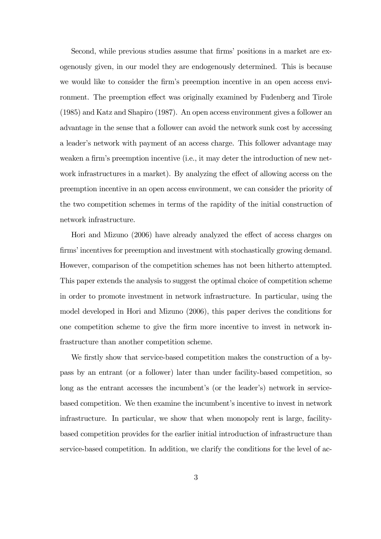Second, while previous studies assume that firms' positions in a market are exogenously given, in our model they are endogenously determined. This is because we would like to consider the firm's preemption incentive in an open access environment. The preemption effect was originally examined by Fudenberg and Tirole (1985) and Katz and Shapiro (1987). An open access environment gives a follower an advantage in the sense that a follower can avoid the network sunk cost by accessing a leader's network with payment of an access charge. This follower advantage may weaken a firm's preemption incentive (i.e., it may deter the introduction of new network infrastructures in a market). By analyzing the effect of allowing access on the preemption incentive in an open access environment, we can consider the priority of the two competition schemes in terms of the rapidity of the initial construction of network infrastructure.

Hori and Mizuno (2006) have already analyzed the effect of access charges on firms' incentives for preemption and investment with stochastically growing demand. However, comparison of the competition schemes has not been hitherto attempted. This paper extends the analysis to suggest the optimal choice of competition scheme in order to promote investment in network infrastructure. In particular, using the model developed in Hori and Mizuno (2006), this paper derives the conditions for one competition scheme to give the firm more incentive to invest in network infrastructure than another competition scheme.

We firstly show that service-based competition makes the construction of a bypass by an entrant (or a follower) later than under facility-based competition, so long as the entrant accesses the incumbent's (or the leader's) network in servicebased competition. We then examine the incumbent's incentive to invest in network infrastructure. In particular, we show that when monopoly rent is large, facilitybased competition provides for the earlier initial introduction of infrastructure than service-based competition. In addition, we clarify the conditions for the level of ac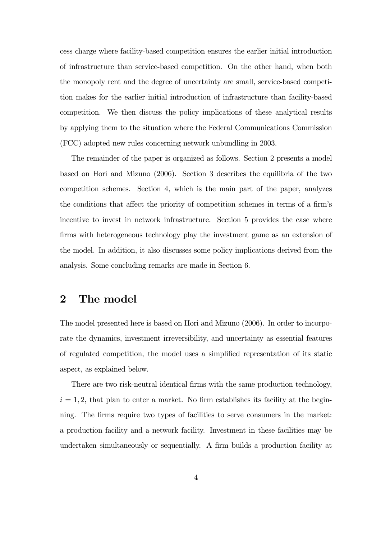cess charge where facility-based competition ensures the earlier initial introduction of infrastructure than service-based competition. On the other hand, when both the monopoly rent and the degree of uncertainty are small, service-based competition makes for the earlier initial introduction of infrastructure than facility-based competition. We then discuss the policy implications of these analytical results by applying them to the situation where the Federal Communications Commission (FCC) adopted new rules concerning network unbundling in 2003.

The remainder of the paper is organized as follows. Section 2 presents a model based on Hori and Mizuno (2006). Section 3 describes the equilibria of the two competition schemes. Section 4, which is the main part of the paper, analyzes the conditions that affect the priority of competition schemes in terms of a firm's incentive to invest in network infrastructure. Section 5 provides the case where firms with heterogeneous technology play the investment game as an extension of the model. In addition, it also discusses some policy implications derived from the analysis. Some concluding remarks are made in Section 6.

# 2 The model

The model presented here is based on Hori and Mizuno (2006). In order to incorporate the dynamics, investment irreversibility, and uncertainty as essential features of regulated competition, the model uses a simplified representation of its static aspect, as explained below.

There are two risk-neutral identical firms with the same production technology,  $i = 1, 2$ , that plan to enter a market. No firm establishes its facility at the beginning. The firms require two types of facilities to serve consumers in the market: a production facility and a network facility. Investment in these facilities may be undertaken simultaneously or sequentially. A firm builds a production facility at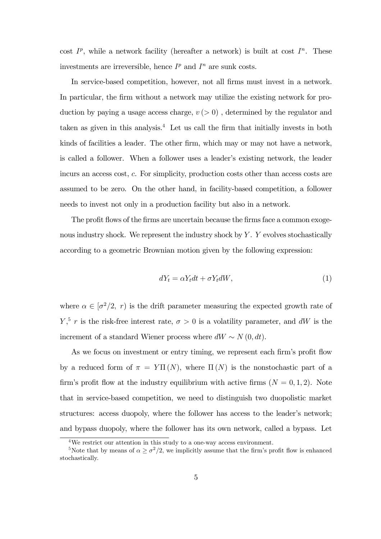cost  $I^p$ , while a network facility (hereafter a network) is built at cost  $I^n$ . These investments are irreversible, hence  $I^p$  and  $I^n$  are sunk costs.

In service-based competition, however, not all firms must invest in a network. In particular, the firm without a network may utilize the existing network for production by paying a usage access charge,  $v > 0$ , determined by the regulator and taken as given in this analysis.<sup>4</sup> Let us call the firm that initially invests in both kinds of facilities a leader. The other firm, which may or may not have a network, is called a follower. When a follower uses a leader's existing network, the leader incurs an access cost, c. For simplicity, production costs other than access costs are assumed to be zero. On the other hand, in facility-based competition, a follower needs to invest not only in a production facility but also in a network.

The profit flows of the firms are uncertain because the firms face a common exogenous industry shock. We represent the industry shock by  $Y$ .  $Y$  evolves stochastically according to a geometric Brownian motion given by the following expression:

$$
dY_t = \alpha Y_t dt + \sigma Y_t dW, \qquad (1)
$$

where  $\alpha \in [\sigma^2/2, r)$  is the drift parameter measuring the expected growth rate of  $Y, \frac{5}{7}$  r is the risk-free interest rate,  $\sigma > 0$  is a volatility parameter, and dW is the increment of a standard Wiener process where  $dW \sim N(0, dt)$ .

As we focus on investment or entry timing, we represent each firm's profit flow by a reduced form of  $\pi = Y\Pi(N)$ , where  $\Pi(N)$  is the nonstochastic part of a firm's profit flow at the industry equilibrium with active firms  $(N = 0, 1, 2)$ . Note that in service-based competition, we need to distinguish two duopolistic market structures: access duopoly, where the follower has access to the leader's network; and bypass duopoly, where the follower has its own network, called a bypass. Let

<sup>&</sup>lt;sup>4</sup>We restrict our attention in this study to a one-way access environment.

<sup>&</sup>lt;sup>5</sup>Note that by means of  $\alpha \geq \frac{\sigma^2}{2}$ , we implicitly assume that the firm's profit flow is enhanced stochastically.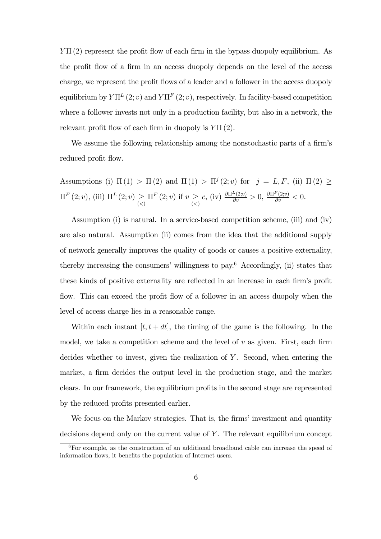$Y\Pi(2)$  represent the profit flow of each firm in the bypass duopoly equilibrium. As the profit flow of a firm in an access duopoly depends on the level of the access charge, we represent the profit flows of a leader and a follower in the access duopoly equilibrium by  $Y\Pi^{L}(2; v)$  and  $Y\Pi^{F}(2; v)$ , respectively. In facility-based competition where a follower invests not only in a production facility, but also in a network, the relevant profit flow of each firm in duopoly is  $Y\Pi(2)$ .

We assume the following relationship among the nonstochastic parts of a firm's reduced profit flow.

Assumptions (i)  $\Pi(1) > \Pi(2)$  and  $\Pi(1) > \Pi^{j}(2; v)$  for  $j = L, F$ , (ii)  $\Pi(2) \ge$  $\Pi^F(2; v)$ , (iii)  $\Pi^L(2; v) \geq \Pi^F(2; v)$  if  $v \geq$  $c, \text{ (iv) } \frac{\partial \Pi^L(2;v)}{\partial v} > 0, \frac{\partial \Pi^F(2;v)}{\partial v} < 0.$ 

Assumption (i) is natural. In a service-based competition scheme, (iii) and (iv) are also natural. Assumption (ii) comes from the idea that the additional supply of network generally improves the quality of goods or causes a positive externality, thereby increasing the consumers' willingness to pay.<sup>6</sup> Accordingly, (ii) states that these kinds of positive externality are reflected in an increase in each firm's profit flow. This can exceed the profit flow of a follower in an access duopoly when the level of access charge lies in a reasonable range.

Within each instant  $[t, t + dt]$ , the timing of the game is the following. In the model, we take a competition scheme and the level of  $v$  as given. First, each firm decides whether to invest, given the realization of Y. Second, when entering the market, a firm decides the output level in the production stage, and the market clears. In our framework, the equilibrium profits in the second stage are represented by the reduced profits presented earlier.

We focus on the Markov strategies. That is, the firms' investment and quantity decisions depend only on the current value of  $Y$ . The relevant equilibrium concept

<sup>6</sup>For example, as the construction of an additional broadband cable can increase the speed of information flows, it benefits the population of Internet users.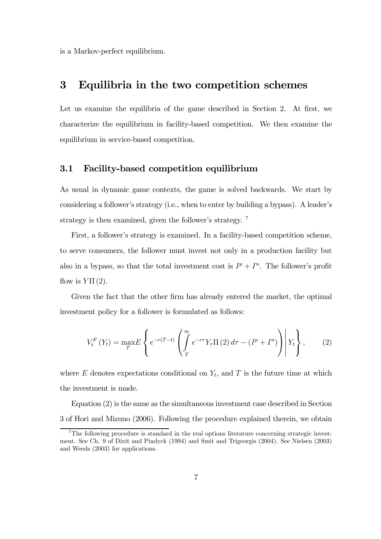is a Markov-perfect equilibrium.

# 3 Equilibria in the two competition schemes

Let us examine the equilibria of the game described in Section 2. At first, we characterize the equilibrium in facility-based competition. We then examine the equilibrium in service-based competition.

### 3.1 Facility-based competition equilibrium

As usual in dynamic game contexts, the game is solved backwards. We start by considering a follower's strategy (i.e., when to enter by building a bypass). A leader's strategy is then examined, given the follower's strategy. <sup>7</sup>

First, a follower's strategy is examined. In a facility-based competition scheme, to serve consumers, the follower must invest not only in a production facility but also in a bypass, so that the total investment cost is  $I^p + I^n$ . The follower's profit flow is  $Y\Pi(2)$ .

Given the fact that the other firm has already entered the market, the optimal investment policy for a follower is formulated as follows:

$$
V_t^F(Y_t) = \max_T E\left\{ e^{-r(T-t)} \left( \int_T^{\infty} e^{-r\tau} Y_\tau \Pi(2) d\tau - (I^p + I^n) \right) \middle| Y_t \right\},\qquad(2)
$$

where  $E$  denotes expectations conditional on  $Y_t$ , and  $T$  is the future time at which the investment is made.

Equation (2) is the same as the simultaneous investment case described in Section 3 of Hori and Mizuno (2006). Following the procedure explained therein, we obtain

<sup>7</sup>The following procedure is standard in the real options literature concerning strategic investment. See Ch. 9 of Dixit and Pindyck (1994) and Smit and Trigeorgis (2004). See Nielsen (2003) and Weeds (2003) for applications.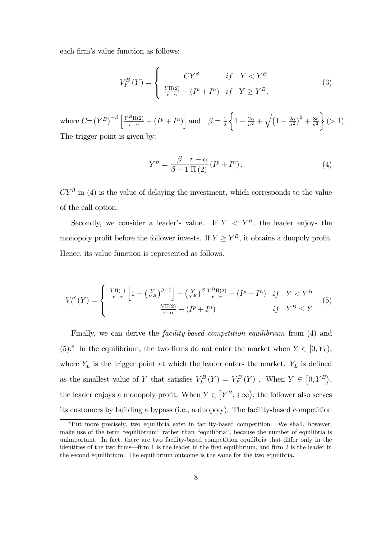each firm's value function as follows:

$$
V_F^B(Y) = \begin{cases} CV^{\beta} & \text{if } Y < Y^B \\ \frac{Y\Pi(2)}{r-\alpha} - (I^p + I^n) & \text{if } Y \ge Y^B, \end{cases}
$$
 (3)

where  $C = (Y^B)^{-\beta} \left[ \frac{Y^B \Pi(2)}{r - \alpha} - (I^P + I^P) \right]$  and  $\beta = \frac{1}{2}$  $\sqrt{ }$  $1 - \frac{2\alpha}{\sigma^2} + \sqrt{\left(1 - \frac{2\alpha}{\sigma^2}\right)^2 + \frac{8r}{\sigma^2}}$  $\mathbf{a}$  $(> 1).$ The trigger point is given by:

$$
Y^{B} = \frac{\beta}{\beta - 1} \frac{r - \alpha}{\Pi(2)} (I^{p} + I^{n}).
$$
\n(4)

 $CY^{\beta}$  in (4) is the value of delaying the investment, which corresponds to the value of the call option.

Secondly, we consider a leader's value. If  $Y < Y^B$ , the leader enjoys the monopoly profit before the follower invests. If  $Y \ge Y^B$ , it obtains a duopoly profit. Hence, its value function is represented as follows.

$$
V_L^B(Y) = \begin{cases} \frac{Y\Pi(1)}{r-\alpha} \left[ 1 - \left(\frac{Y}{Y^B}\right)^{\beta-1} \right] + \left(\frac{Y}{Y^B}\right)^{\beta} \frac{Y^B\Pi(2)}{r-\alpha} - \left(I^p + I^n\right) & \text{if } Y < Y^B\\ \frac{Y\Pi(2)}{r-\alpha} - \left(I^p + I^n\right) & \text{if } Y^B \le Y \end{cases} \tag{5}
$$

Finally, we can derive the *facility-based competition equilibrium* from (4) and (5).<sup>8</sup> In the equilibrium, the two firms do not enter the market when  $Y \in [0, Y_L)$ , where  $Y_L$  is the trigger point at which the leader enters the market.  $Y_L$  is defined as the smallest value of Y that satisfies  $V_L^B(Y) = V_F^B(Y)$ . When  $Y \in [0, Y^B)$ , the leader enjoys a monopoly profit. When  $Y \in [Y^B, +\infty)$ , the follower also serves its customers by building a bypass (i.e., a duopoly). The facility-based competition

<sup>8</sup>Put more precisely, two equilibria exist in facility-based competition. We shall, however, make use of the term "equilibrium" rather than "equilibria", because the number of equilibria is unimportant. In fact, there are two facility-based competition equilibria that differ only in the identities of the two firms–firm 1 is the leader in the first equilibrium, and firm 2 is the leader in the second equilibrium. The equilibrium outcome is the same for the two equilibria.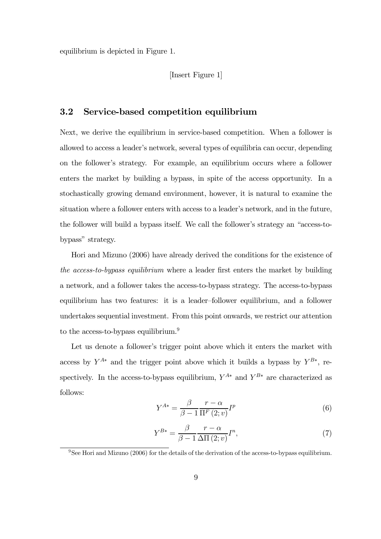equilibrium is depicted in Figure 1.

#### [Insert Figure 1]

### 3.2 Service-based competition equilibrium

Next, we derive the equilibrium in service-based competition. When a follower is allowed to access a leader's network, several types of equilibria can occur, depending on the follower's strategy. For example, an equilibrium occurs where a follower enters the market by building a bypass, in spite of the access opportunity. In a stochastically growing demand environment, however, it is natural to examine the situation where a follower enters with access to a leader's network, and in the future, the follower will build a bypass itself. We call the follower's strategy an "access-tobypass" strategy.

Hori and Mizuno (2006) have already derived the conditions for the existence of the access-to-bypass equilibrium where a leader first enters the market by building a network, and a follower takes the access-to-bypass strategy. The access-to-bypass equilibrium has two features: it is a leader—follower equilibrium, and a follower undertakes sequential investment. From this point onwards, we restrict our attention to the access-to-bypass equilibrium.<sup>9</sup>

Let us denote a follower's trigger point above which it enters the market with access by  $Y^{A*}$  and the trigger point above which it builds a bypass by  $Y^{B*}$ , respectively. In the access-to-bypass equilibrium,  $Y^{A*}$  and  $Y^{B*}$  are characterized as follows:

$$
Y^{A*} = \frac{\beta}{\beta - 1} \frac{r - \alpha}{\Pi^F(2; v)} I^p
$$
\n<sup>(6)</sup>

$$
Y^{B*} = \frac{\beta}{\beta - 1} \frac{r - \alpha}{\Delta \Pi(2; v)} I^n,
$$
\n(7)

<sup>9</sup>See Hori and Mizuno (2006) for the details of the derivation of the access-to-bypass equilibrium.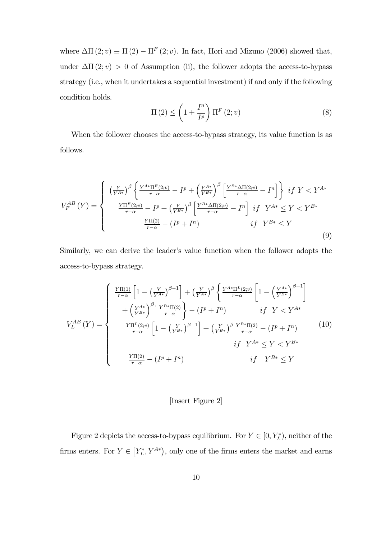where  $\Delta\Pi(2; v) \equiv \Pi(2) - \Pi^F(2; v)$ . In fact, Hori and Mizuno (2006) showed that, under  $\Delta\Pi(2; v) > 0$  of Assumption (ii), the follower adopts the access-to-bypass strategy (i.e., when it undertakes a sequential investment) if and only if the following condition holds.

$$
\Pi\left(2\right) \leq \left(1 + \frac{I^n}{I^p}\right) \Pi^F\left(2; v\right) \tag{8}
$$

When the follower chooses the access-to-bypass strategy, its value function is as follows.

$$
V_{F}^{AB}(Y) = \begin{cases} \left(\frac{Y}{Y^{A*}}\right)^{\beta} \left\{\frac{Y^{A*}\Pi^{F}(2;v)}{r-\alpha} - I^{p} + \left(\frac{Y^{A*}}{Y^{B*}}\right)^{\beta} \left[\frac{Y^{B*}\Delta\Pi(2;v)}{r-\alpha} - I^{n}\right] \right\} & if \ Y < Y^{A*} \\ \frac{Y\Pi^{F}(2;v)}{r-\alpha} - I^{p} + \left(\frac{Y}{Y^{B*}}\right)^{\beta} \left[\frac{Y^{B*}\Delta\Pi(2;v)}{r-\alpha} - I^{n}\right] & if \ Y^{A*} \le Y < Y^{B*} \\ \frac{Y\Pi(2)}{r-\alpha} - (I^{p} + I^{n}) & if \ Y^{B*} \le Y \end{cases} \tag{9}
$$

Similarly, we can derive the leader's value function when the follower adopts the access-to-bypass strategy.

$$
V_L^{AB}(Y) = \begin{cases} \frac{Y\Pi(1)}{r-\alpha} \left[ 1 - \left(\frac{Y}{Y^{A*}}\right)^{\beta - 1} \right] + \left(\frac{Y}{Y^{A*}}\right)^{\beta} \left\{ \frac{Y^{A*}\Pi^{L}(2; v)}{r-\alpha} \left[ 1 - \left(\frac{Y^{A*}}{Y^{B*}}\right)^{\beta - 1} \right] \right. \\ \left. + \left(\frac{Y^{A*}}{Y^{B*}}\right)^{\beta_1} \frac{Y^{B*}\Pi(2)}{r-\alpha} \right\} - (I^{p} + I^{n}) & if \ Y < Y^{A*} \\ \frac{Y\Pi^{L}(2; v)}{r-\alpha} \left[ 1 - \left(\frac{Y}{Y^{B*}}\right)^{\beta - 1} \right] + \left(\frac{Y}{Y^{B*}}\right)^{\beta} \frac{Y^{B*}\Pi(2)}{r-\alpha} - (I^{p} + I^{n}) & (10) \\ \quad \text{if} \ Y^{A*} \le Y < Y^{B*} \\ \frac{Y\Pi(2)}{r-\alpha} - (I^{p} + I^{n}) & if \ Y^{B*} \le Y \end{cases}
$$

#### [Insert Figure 2]

Figure 2 depicts the access-to-bypass equilibrium. For  $Y \in [0, Y_L^*)$ , neither of the firms enters. For  $Y \in [Y_L^*, Y^{A*})$ , only one of the firms enters the market and earns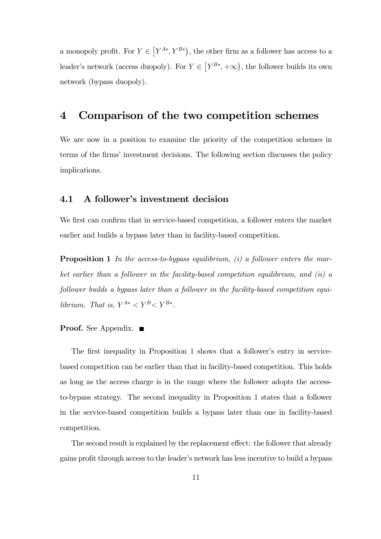a monopoly profit. For  $Y \in \left[ Y^{A*}, Y^{B*} \right)$ , the other firm as a follower has access to a leader's network (access duopoly). For  $Y \in [Y^{B*}, +\infty)$ , the follower builds its own network (bypass duopoly).

# 4 Comparison of the two competition schemes

We are now in a position to examine the priority of the competition schemes in terms of the firms' investment decisions. The following section discusses the policy implications.

### 4.1 A follower's investment decision

We first can confirm that in service-based competition, a follower enters the market earlier and builds a bypass later than in facility-based competition.

**Proposition 1** In the access-to-bypass equilibrium,  $(i)$  a follower enters the market earlier than a follower in the facility-based competition equilibrium, and (ii) a follower builds a bypass later than a follower in the facility-based competition equilibrium. That is,  $Y^{A*} < Y^{B} < Y^{B*}$ .

#### Proof. See Appendix.

The first inequality in Proposition 1 shows that a follower's entry in servicebased competition can be earlier than that in facility-based competition. This holds as long as the access charge is in the range where the follower adopts the accessto-bypass strategy. The second inequality in Proposition 1 states that a follower in the service-based competition builds a bypass later than one in facility-based competition.

The second result is explained by the replacement effect: the follower that already gains profit through access to the leader's network has less incentive to build a bypass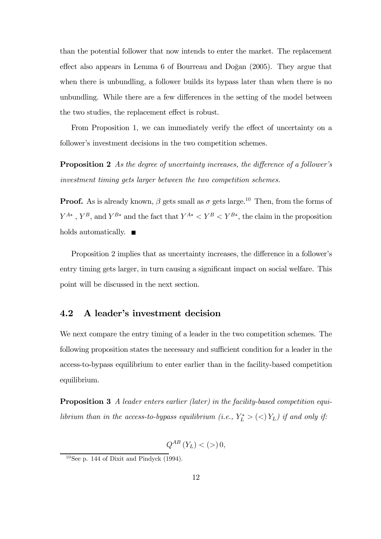than the potential follower that now intends to enter the market. The replacement effect also appears in Lemma 6 of Bourreau and Doğan  $(2005)$ . They argue that when there is unbundling, a follower builds its bypass later than when there is no unbundling. While there are a few differences in the setting of the model between the two studies, the replacement effect is robust.

From Proposition 1, we can immediately verify the effect of uncertainty on a follower's investment decisions in the two competition schemes.

**Proposition 2** As the degree of uncertainty increases, the difference of a follower's investment timing gets larger between the two competition schemes.

**Proof.** As is already known,  $\beta$  gets small as  $\sigma$  gets large.<sup>10</sup> Then, from the forms of  $Y^{A*}$ ,  $Y^B$ , and  $Y^{B*}$  and the fact that  $Y^{A*} < Y^B < Y^{B*}$ , the claim in the proposition holds automatically.  $\blacksquare$ 

Proposition 2 implies that as uncertainty increases, the difference in a follower's entry timing gets larger, in turn causing a significant impact on social welfare. This point will be discussed in the next section.

### 4.2 A leader's investment decision

We next compare the entry timing of a leader in the two competition schemes. The following proposition states the necessary and sufficient condition for a leader in the access-to-bypass equilibrium to enter earlier than in the facility-based competition equilibrium.

Proposition 3 A leader enters earlier (later) in the facility-based competition equilibrium than in the access-to-bypass equilibrium (i.e.,  $Y_L^*$  > (<)  $Y_L$ ) if and only if:

$$
Q^{AB}\left(Y_L\right) < \left( > \right) 0,
$$

 $10$ See p. 144 of Dixit and Pindyck (1994).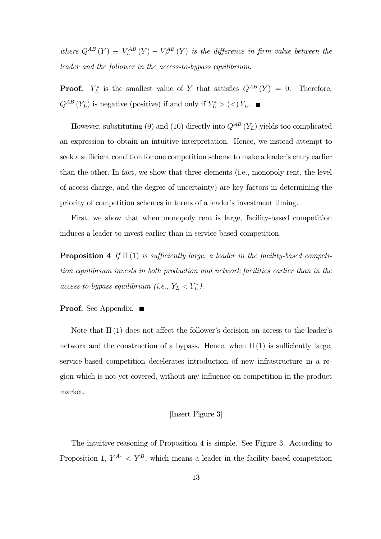where  $Q^{AB}(Y) \equiv V_L^{AB}(Y) - V_F^{AB}(Y)$  is the difference in firm value between the leader and the follower in the access-to-bypass equilibrium.

**Proof.**  $Y_L^*$  is the smallest value of Y that satisfies  $Q^{AB}(Y) = 0$ . Therefore,  $Q^{AB}$   $(Y_L)$  is negative (positive) if and only if  $Y_L^*$  >  $(<)$   $Y_L$ .

However, substituting (9) and (10) directly into  $Q^{AB}$  (Y<sub>L</sub>) yields too complicated an expression to obtain an intuitive interpretation. Hence, we instead attempt to seek a sufficient condition for one competition scheme to make a leader's entry earlier than the other. In fact, we show that three elements (i.e., monopoly rent, the level of access charge, and the degree of uncertainty) are key factors in determining the priority of competition schemes in terms of a leader's investment timing.

First, we show that when monopoly rent is large, facility-based competition induces a leader to invest earlier than in service-based competition.

**Proposition 4** If  $\Pi(1)$  is sufficiently large, a leader in the facility-based competition equilibrium invests in both production and network facilities earlier than in the  $access-to-bypass equilibrium (i.e., Y_L < Y_L^*).$ 

#### **Proof.** See Appendix. ■

Note that  $\Pi(1)$  does not affect the follower's decision on access to the leader's network and the construction of a bypass. Hence, when  $\Pi(1)$  is sufficiently large, service-based competition decelerates introduction of new infrastructure in a region which is not yet covered, without any influence on competition in the product market.

#### [Insert Figure 3]

The intuitive reasoning of Proposition 4 is simple. See Figure 3. According to Proposition 1,  $Y^{A*} \leq Y^B$ , which means a leader in the facility-based competition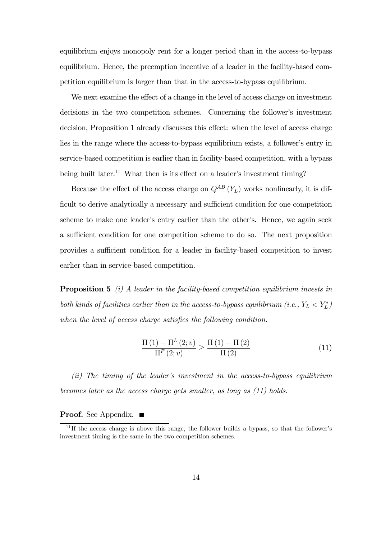equilibrium enjoys monopoly rent for a longer period than in the access-to-bypass equilibrium. Hence, the preemption incentive of a leader in the facility-based competition equilibrium is larger than that in the access-to-bypass equilibrium.

We next examine the effect of a change in the level of access charge on investment decisions in the two competition schemes. Concerning the follower's investment decision, Proposition 1 already discusses this effect: when the level of access charge lies in the range where the access-to-bypass equilibrium exists, a follower's entry in service-based competition is earlier than in facility-based competition, with a bypass being built later.<sup>11</sup> What then is its effect on a leader's investment timing?

Because the effect of the access charge on  $Q^{AB}(Y_L)$  works nonlinearly, it is difficult to derive analytically a necessary and sufficient condition for one competition scheme to make one leader's entry earlier than the other's. Hence, we again seek a sufficient condition for one competition scheme to do so. The next proposition provides a sufficient condition for a leader in facility-based competition to invest earlier than in service-based competition.

**Proposition 5** (i) A leader in the facility-based competition equilibrium invests in both kinds of facilities earlier than in the access-to-bypass equilibrium (i.e.,  $Y_L < Y_L^*$ ) when the level of access charge satisfies the following condition.

$$
\frac{\Pi(1) - \Pi^{L}(2; v)}{\Pi^{F}(2; v)} \ge \frac{\Pi(1) - \Pi(2)}{\Pi(2)}
$$
\n(11)

(ii) The timing of the leader's investment in the access-to-bypass equilibrium becomes later as the access charge gets smaller, as long as (11) holds.

**Proof.** See Appendix. ■

 $11$ If the access charge is above this range, the follower builds a bypass, so that the follower's investment timing is the same in the two competition schemes.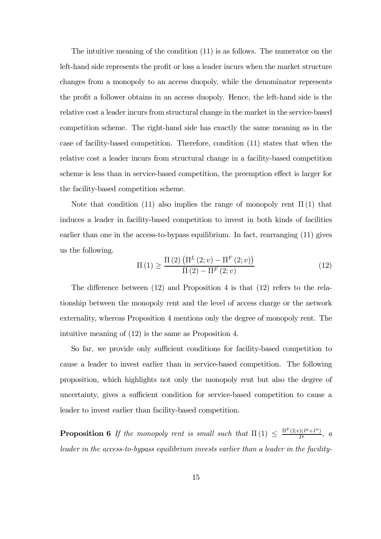The intuitive meaning of the condition (11) is as follows. The numerator on the left-hand side represents the profit or loss a leader incurs when the market structure changes from a monopoly to an access duopoly, while the denominator represents the profit a follower obtains in an access duopoly. Hence, the left-hand side is the relative cost a leader incurs from structural change in the market in the service-based competition scheme. The right-hand side has exactly the same meaning as in the case of facility-based competition. Therefore, condition (11) states that when the relative cost a leader incurs from structural change in a facility-based competition scheme is less than in service-based competition, the preemption effect is larger for the facility-based competition scheme.

Note that condition (11) also implies the range of monopoly rent  $\Pi(1)$  that induces a leader in facility-based competition to invest in both kinds of facilities earlier than one in the access-to-bypass equilibrium. In fact, rearranging (11) gives us the following.

$$
\Pi(1) \ge \frac{\Pi(2) \left( \Pi^{L}(2; v) - \Pi^{F}(2; v) \right)}{\Pi(2) - \Pi^{F}(2; v)}
$$
\n(12)

The difference between (12) and Proposition 4 is that (12) refers to the relationship between the monopoly rent and the level of access charge or the network externality, whereas Proposition 4 mentions only the degree of monopoly rent. The intuitive meaning of (12) is the same as Proposition 4.

So far, we provide only sufficient conditions for facility-based competition to cause a leader to invest earlier than in service-based competition. The following proposition, which highlights not only the monopoly rent but also the degree of uncertainty, gives a sufficient condition for service-based competition to cause a leader to invest earlier than facility-based competition.

**Proposition 6** If the monopoly rent is small such that  $\Pi(1) \leq \frac{\Pi^F(2; v)(I^p + I^n)}{I^p}$ , a leader in the access-to-bypass equilibrium invests earlier than a leader in the facility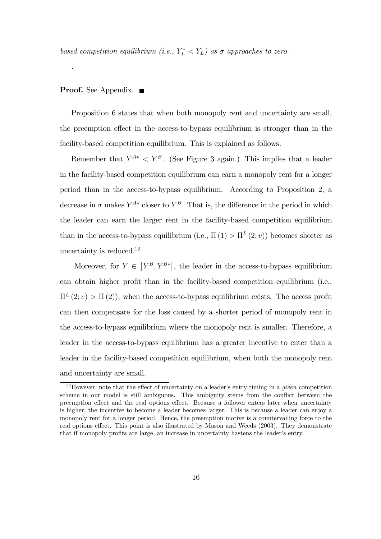based competition equilibrium (i.e.,  $Y_L^* < Y_L$ ) as  $\sigma$  approaches to zero.

#### **Proof.** See Appendix. ■

.

Proposition 6 states that when both monopoly rent and uncertainty are small, the preemption effect in the access-to-bypass equilibrium is stronger than in the facility-based competition equilibrium. This is explained as follows.

Remember that  $Y^{A*} < Y^B$ . (See Figure 3 again.) This implies that a leader in the facility-based competition equilibrium can earn a monopoly rent for a longer period than in the access-to-bypass equilibrium. According to Proposition 2, a decrease in  $\sigma$  makes  $Y^{A*}$  closer to  $Y^B$ . That is, the difference in the period in which the leader can earn the larger rent in the facility-based competition equilibrium than in the access-to-bypass equilibrium (i.e.,  $\Pi(1) > \Pi^L(2; v)$ ) becomes shorter as uncertainty is reduced.<sup>12</sup>

Moreover, for  $Y \in [Y^B, Y^{B*}]$ , the leader in the access-to-bypass equilibrium can obtain higher profit than in the facility-based competition equilibrium (i.e.,  $\Pi^L(2; v) > \Pi(2)$ , when the access-to-bypass equilibrium exists. The access profit can then compensate for the loss caused by a shorter period of monopoly rent in the access-to-bypass equilibrium where the monopoly rent is smaller. Therefore, a leader in the access-to-bypass equilibrium has a greater incentive to enter than a leader in the facility-based competition equilibrium, when both the monopoly rent and uncertainty are small.

 $12$  However, note that the effect of uncertainty on a leader's entry timing in a *given* competition scheme in our model is still ambiguous. This ambiguity stems from the conflict between the preemption effect and the real options effect. Because a follower enters later when uncertainty is higher, the incentive to become a leader becomes larger. This is because a leader can enjoy a monopoly rent for a longer period. Hence, the preemption motive is a countervailing force to the real options effect. This point is also illustrated by Mason and Weeds (2003). They demonstrate that if monopoly profits are large, an increase in uncertainty hastens the leader's entry.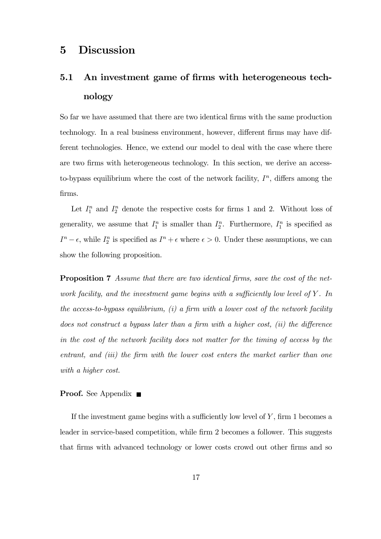# 5 Discussion

# 5.1 An investment game of firms with heterogeneous technology

So far we have assumed that there are two identical firms with the same production technology. In a real business environment, however, different firms may have different technologies. Hence, we extend our model to deal with the case where there are two firms with heterogeneous technology. In this section, we derive an accessto-bypass equilibrium where the cost of the network facility,  $I<sup>n</sup>$ , differs among the firms.

Let  $I_1^n$  and  $I_2^n$  denote the respective costs for firms 1 and 2. Without loss of generality, we assume that  $I_1^n$  is smaller than  $I_2^n$ . Furthermore,  $I_1^n$  is specified as  $I<sup>n</sup> - \epsilon$ , while  $I_2^n$  is specified as  $I<sup>n</sup> + \epsilon$  where  $\epsilon > 0$ . Under these assumptions, we can show the following proposition.

Proposition 7 Assume that there are two identical firms, save the cost of the network facility, and the investment game begins with a sufficiently low level of  $Y$ . In the access-to-bypass equilibrium,  $(i)$  a firm with a lower cost of the network facility does not construct a bypass later than a firm with a higher cost, *(ii)* the difference in the cost of the network facility does not matter for the timing of access by the entrant, and *(iii)* the firm with the lower cost enters the market earlier than one with a higher cost.

#### **Proof.** See Appendix  $\blacksquare$

If the investment game begins with a sufficiently low level of  $Y$ , firm 1 becomes a leader in service-based competition, while firm 2 becomes a follower. This suggests that firms with advanced technology or lower costs crowd out other firms and so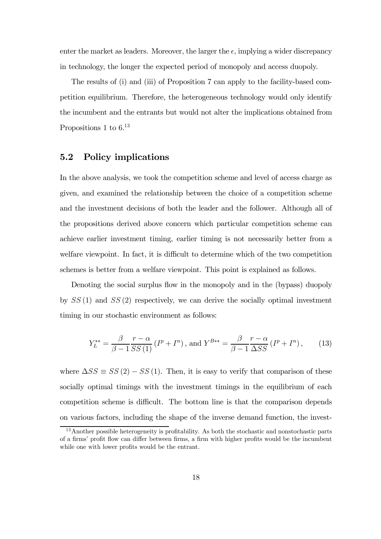enter the market as leaders. Moreover, the larger the  $\epsilon$ , implying a wider discrepancy in technology, the longer the expected period of monopoly and access duopoly.

The results of (i) and (iii) of Proposition 7 can apply to the facility-based competition equilibrium. Therefore, the heterogeneous technology would only identify the incumbent and the entrants but would not alter the implications obtained from Propositions 1 to  $6^{13}$ 

### 5.2 Policy implications

In the above analysis, we took the competition scheme and level of access charge as given, and examined the relationship between the choice of a competition scheme and the investment decisions of both the leader and the follower. Although all of the propositions derived above concern which particular competition scheme can achieve earlier investment timing, earlier timing is not necessarily better from a welfare viewpoint. In fact, it is difficult to determine which of the two competition schemes is better from a welfare viewpoint. This point is explained as follows.

Denoting the social surplus flow in the monopoly and in the (bypass) duopoly by  $SS(1)$  and  $SS(2)$  respectively, we can derive the socially optimal investment timing in our stochastic environment as follows:

$$
Y_L^{**} = \frac{\beta}{\beta - 1} \frac{r - \alpha}{SS(1)} \left( I^p + I^n \right), \text{ and } Y^{B**} = \frac{\beta}{\beta - 1} \frac{r - \alpha}{\Delta SS} \left( I^p + I^n \right), \tag{13}
$$

where  $\Delta SS \equiv SS(2) - SS(1)$ . Then, it is easy to verify that comparison of these socially optimal timings with the investment timings in the equilibrium of each competition scheme is difficult. The bottom line is that the comparison depends on various factors, including the shape of the inverse demand function, the invest-

<sup>&</sup>lt;sup>13</sup> Another possible heterogeneity is profitability. As both the stochastic and nonstochastic parts of a firms' profit flow can differ between firms, a firm with higher profits would be the incumbent while one with lower profits would be the entrant.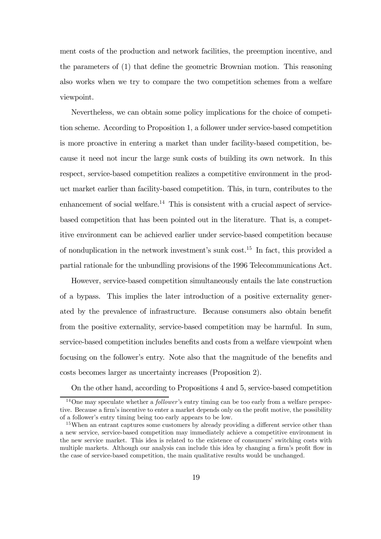ment costs of the production and network facilities, the preemption incentive, and the parameters of (1) that define the geometric Brownian motion. This reasoning also works when we try to compare the two competition schemes from a welfare viewpoint.

Nevertheless, we can obtain some policy implications for the choice of competition scheme. According to Proposition 1, a follower under service-based competition is more proactive in entering a market than under facility-based competition, because it need not incur the large sunk costs of building its own network. In this respect, service-based competition realizes a competitive environment in the product market earlier than facility-based competition. This, in turn, contributes to the enhancement of social welfare.<sup>14</sup> This is consistent with a crucial aspect of servicebased competition that has been pointed out in the literature. That is, a competitive environment can be achieved earlier under service-based competition because of nonduplication in the network investment's sunk cost.15 In fact, this provided a partial rationale for the unbundling provisions of the 1996 Telecommunications Act.

However, service-based competition simultaneously entails the late construction of a bypass. This implies the later introduction of a positive externality generated by the prevalence of infrastructure. Because consumers also obtain benefit from the positive externality, service-based competition may be harmful. In sum, service-based competition includes benefits and costs from a welfare viewpoint when focusing on the follower's entry. Note also that the magnitude of the benefits and costs becomes larger as uncertainty increases (Proposition 2).

On the other hand, according to Propositions 4 and 5, service-based competition

<sup>&</sup>lt;sup>14</sup>One may speculate whether a *follower's* entry timing can be too early from a welfare perspective. Because a firm's incentive to enter a market depends only on the profit motive, the possibility of a follower's entry timing being too early appears to be low.

<sup>&</sup>lt;sup>15</sup>When an entrant captures some customers by already providing a different service other than a new service, service-based competition may immediately achieve a competitive environment in the new service market. This idea is related to the existence of consumers' switching costs with multiple markets. Although our analysis can include this idea by changing a firm's profit flow in the case of service-based competition, the main qualitative results would be unchanged.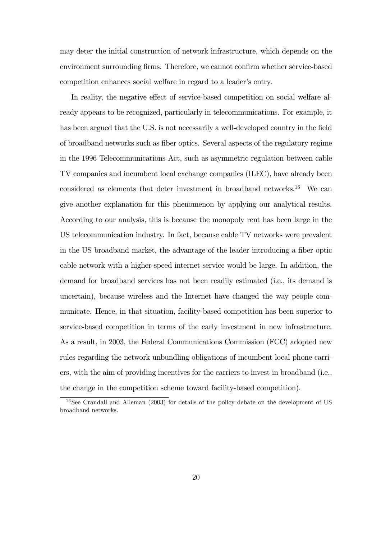may deter the initial construction of network infrastructure, which depends on the environment surrounding firms. Therefore, we cannot confirm whether service-based competition enhances social welfare in regard to a leader's entry.

In reality, the negative effect of service-based competition on social welfare already appears to be recognized, particularly in telecommunications. For example, it has been argued that the U.S. is not necessarily a well-developed country in the field of broadband networks such as fiber optics. Several aspects of the regulatory regime in the 1996 Telecommunications Act, such as asymmetric regulation between cable TV companies and incumbent local exchange companies (ILEC), have already been considered as elements that deter investment in broadband networks.<sup>16</sup> We can give another explanation for this phenomenon by applying our analytical results. According to our analysis, this is because the monopoly rent has been large in the US telecommunication industry. In fact, because cable TV networks were prevalent in the US broadband market, the advantage of the leader introducing a fiber optic cable network with a higher-speed internet service would be large. In addition, the demand for broadband services has not been readily estimated (i.e., its demand is uncertain), because wireless and the Internet have changed the way people communicate. Hence, in that situation, facility-based competition has been superior to service-based competition in terms of the early investment in new infrastructure. As a result, in 2003, the Federal Communications Commission (FCC) adopted new rules regarding the network unbundling obligations of incumbent local phone carriers, with the aim of providing incentives for the carriers to invest in broadband (i.e., the change in the competition scheme toward facility-based competition).

<sup>&</sup>lt;sup>16</sup>See Crandall and Alleman (2003) for details of the policy debate on the development of US broadband networks.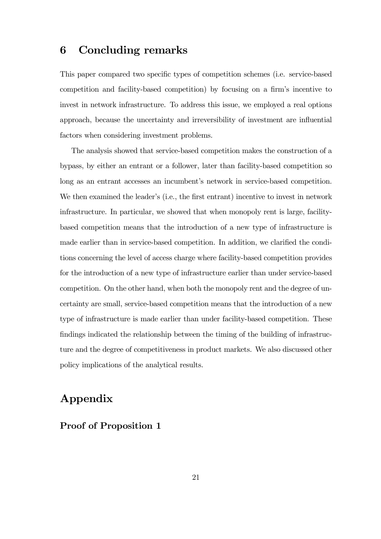# 6 Concluding remarks

This paper compared two specific types of competition schemes (i.e. service-based competition and facility-based competition) by focusing on a firm's incentive to invest in network infrastructure. To address this issue, we employed a real options approach, because the uncertainty and irreversibility of investment are influential factors when considering investment problems.

The analysis showed that service-based competition makes the construction of a bypass, by either an entrant or a follower, later than facility-based competition so long as an entrant accesses an incumbent's network in service-based competition. We then examined the leader's (i.e., the first entrant) incentive to invest in network infrastructure. In particular, we showed that when monopoly rent is large, facilitybased competition means that the introduction of a new type of infrastructure is made earlier than in service-based competition. In addition, we clarified the conditions concerning the level of access charge where facility-based competition provides for the introduction of a new type of infrastructure earlier than under service-based competition. On the other hand, when both the monopoly rent and the degree of uncertainty are small, service-based competition means that the introduction of a new type of infrastructure is made earlier than under facility-based competition. These findings indicated the relationship between the timing of the building of infrastructure and the degree of competitiveness in product markets. We also discussed other policy implications of the analytical results.

# Appendix

Proof of Proposition 1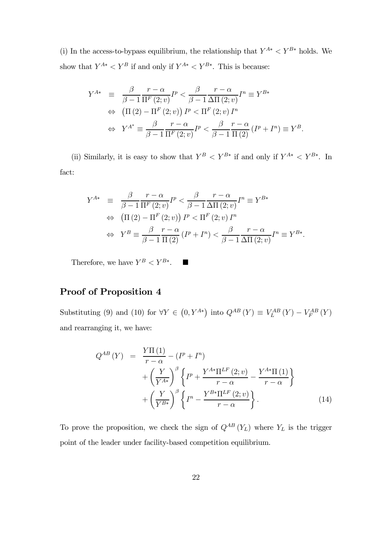(i) In the access-to-bypass equilibrium, the relationship that  $Y^{A*} < Y^{B*}$  holds. We show that  $Y^{A*} < Y^B$  if and only if  $Y^{A*} < Y^{B*}$ . This is because:

$$
Y^{A*} \equiv \frac{\beta}{\beta - 1} \frac{r - \alpha}{\Pi^F(2; v)} I^p < \frac{\beta}{\beta - 1} \frac{r - \alpha}{\Delta \Pi(2; v)} I^n \equiv Y^{B*}
$$
\n
$$
\Leftrightarrow \left( \Pi(2) - \Pi^F(2; v) \right) I^p < \Pi^F(2; v) I^n
$$
\n
$$
\Leftrightarrow Y^{A*} \equiv \frac{\beta}{\beta - 1} \frac{r - \alpha}{\Pi^F(2; v)} I^p < \frac{\beta}{\beta - 1} \frac{r - \alpha}{\Pi(2)} (I^p + I^n) \equiv Y^B.
$$

(ii) Similarly, it is easy to show that  $Y^B \n\lt Y^{B*}$  if and only if  $Y^{A*} \n\lt Y^{B*}$ . In fact:

$$
Y^{A*} \equiv \frac{\beta}{\beta - 1} \frac{r - \alpha}{\Pi^F(2; v)} I^p < \frac{\beta}{\beta - 1} \frac{r - \alpha}{\Delta \Pi(2; v)} I^n \equiv Y^{B*}
$$
\n
$$
\Leftrightarrow \left( \Pi(2) - \Pi^F(2; v) \right) I^p < \Pi^F(2; v) I^n
$$
\n
$$
\Leftrightarrow Y^B \equiv \frac{\beta}{\beta - 1} \frac{r - \alpha}{\Pi(2)} \left( I^p + I^n \right) < \frac{\beta}{\beta - 1} \frac{r - \alpha}{\Delta \Pi(2; v)} I^n \equiv Y^{B*}.
$$

Therefore, we have  $Y^B < Y^{B*}$ .  $\blacksquare$ 

## Proof of Proposition 4

Substituting (9) and (10) for  $\forall Y \in (0, Y^{A*})$  into  $Q^{AB}(Y) \equiv V_L^{AB}(Y) - V_F^{AB}(Y)$ and rearranging it, we have:

$$
Q^{AB}(Y) = \frac{Y\Pi(1)}{r-\alpha} - (I^p + I^n)
$$
  
+ 
$$
\left(\frac{Y}{Y^{A*}}\right)^{\beta} \left\{ I^p + \frac{Y^{A*}\Pi^{LF}(2; v)}{r-\alpha} - \frac{Y^{A*}\Pi(1)}{r-\alpha} \right\}
$$
  
+ 
$$
\left(\frac{Y}{Y^{B*}}\right)^{\beta} \left\{ I^n - \frac{Y^{B*}\Pi^{LF}(2; v)}{r-\alpha} \right\}.
$$
 (14)

To prove the proposition, we check the sign of  $Q^{AB}(Y_L)$  where  $Y_L$  is the trigger point of the leader under facility-based competition equilibrium.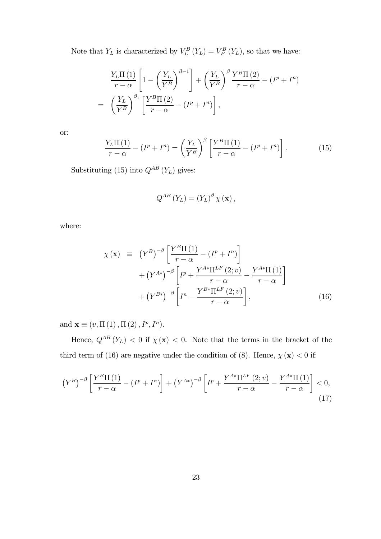Note that  $Y_L$  is characterized by  $V_L^B(Y_L) = V_F^B(Y_L)$ , so that we have:

$$
\frac{Y_L \Pi\left(1\right)}{r - \alpha} \left[1 - \left(\frac{Y_L}{Y^B}\right)^{\beta - 1}\right] + \left(\frac{Y_L}{Y^B}\right)^{\beta} \frac{Y^B \Pi\left(2\right)}{r - \alpha} - \left(I^p + I^n\right)
$$
\n
$$
= \left(\frac{Y_L}{Y^B}\right)^{\beta_1} \left[\frac{Y^B \Pi\left(2\right)}{r - \alpha} - \left(I^p + I^n\right)\right],
$$

or:

$$
\frac{Y_L \Pi\left(1\right)}{r-\alpha} - \left(I^p + I^n\right) = \left(\frac{Y_L}{Y^B}\right)^{\beta} \left[\frac{Y^B \Pi\left(1\right)}{r-\alpha} - \left(I^p + I^n\right)\right].\tag{15}
$$

Substituting (15) into  $Q^{AB}$  (Y<sub>L</sub>) gives:

$$
Q^{AB}\left(Y_L\right) = \left(Y_L\right)^{\beta} \chi\left(\mathbf{x}\right),
$$

where:

$$
\chi(\mathbf{x}) \equiv (Y^B)^{-\beta} \left[ \frac{Y^B \Pi(1)}{r - \alpha} - (I^p + I^n) \right] \n+ (Y^{A*})^{-\beta} \left[ I^p + \frac{Y^{A*} \Pi^{LF}(2; v)}{r - \alpha} - \frac{Y^{A*} \Pi(1)}{r - \alpha} \right] \n+ (Y^{B*})^{-\beta} \left[ I^n - \frac{Y^{B*} \Pi^{LF}(2; v)}{r - \alpha} \right],
$$
\n(16)

and  $\mathbf{x} \equiv (v, \Pi(1), \Pi(2), I^p, I^n).$ 

Hence,  $Q^{AB}(Y_L)$  < 0 if  $\chi(\mathbf{x})$  < 0. Note that the terms in the bracket of the third term of (16) are negative under the condition of (8). Hence,  $\chi(\mathbf{x}) < 0$  if:

$$
\left(Y^{B}\right)^{-\beta}\left[\frac{Y^{B}\Pi\left(1\right)}{r-\alpha}-\left(I^{P}+I^{n}\right)\right]+\left(Y^{A*}\right)^{-\beta}\left[I^{P}+\frac{Y^{A*}\Pi^{LF}\left(2;v\right)}{r-\alpha}-\frac{Y^{A*}\Pi\left(1\right)}{r-\alpha}\right]<0,
$$
\n(17)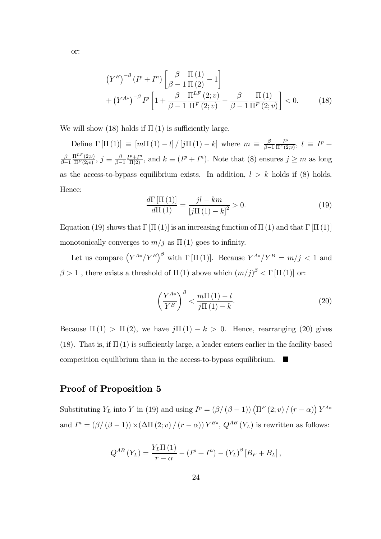$$
(Y^{B})^{-\beta} (I^{p} + I^{n}) \left[ \frac{\beta}{\beta - 1} \frac{\Pi(1)}{\Pi(2)} - 1 \right] + (Y^{A*})^{-\beta} I^{p} \left[ 1 + \frac{\beta}{\beta - 1} \frac{\Pi^{LF}(2; v)}{\Pi^{F}(2; v)} - \frac{\beta}{\beta - 1} \frac{\Pi(1)}{\Pi^{F}(2; v)} \right] < 0.
$$
 (18)

We will show (18) holds if  $\Pi(1)$  is sufficiently large.

Define  $\Gamma[\Pi(1)] \equiv [m\Pi(1) - l] / [j\Pi(1) - k]$  where  $m \equiv \frac{\beta}{\beta - 1}$  $\frac{I^p}{\Pi^F(2;v)}, l \equiv I^p +$ β  $_{\beta-1}$  $\frac{\Pi^{LF}(2; v)}{\Pi^{F}(2; v)}, j \equiv \frac{\beta}{\beta - 1}$  $\frac{I^p+I^n}{\Pi(2)}$ , and  $k \equiv (I^p+I^n)$ . Note that (8) ensures  $j \geq m$  as long as the access-to-bypass equilibrium exists. In addition,  $l > k$  holds if (8) holds. Hence:

$$
\frac{d\Gamma\left[\Pi\left(1\right)\right]}{d\Pi\left(1\right)} = \frac{j l - k m}{\left[j \Pi\left(1\right) - k\right]^2} > 0. \tag{19}
$$

Equation (19) shows that Γ [Π (1)] is an increasing function of Π (1) and that Γ [Π (1)] monotonically converges to  $m/j$  as  $\Pi(1)$  goes to infinity.

Let us compare  $(Y^{A*}/Y^B)^{\beta}$  with  $\Gamma[\Pi(1)]$ . Because  $Y^{A*}/Y^B = m/j < 1$  and  $\beta > 1$ , there exists a threshold of  $\Pi(1)$  above which  $(m/j)^{\beta} < \Gamma[\Pi(1)]$  or:

$$
\left(\frac{Y^{A*}}{Y^B}\right)^{\beta} < \frac{m\Pi\left(1\right) - l}{j\Pi\left(1\right) - k}.\tag{20}
$$

Because  $\Pi(1) > \Pi(2)$ , we have  $j\Pi(1) - k > 0$ . Hence, rearranging (20) gives (18). That is, if  $\Pi(1)$  is sufficiently large, a leader enters earlier in the facility-based competition equilibrium than in the access-to-bypass equilibrium.  $\blacksquare$ 

### Proof of Proposition 5

Substituting  $Y_L$  into Y in (19) and using  $I^p = (\beta/(\beta - 1)) (\Pi^F(2; v)/(r - \alpha)) Y^{A*}$ and  $I^{n} = (\beta/(\beta - 1)) \times (\Delta \Pi(2; v)/(r - \alpha)) Y^{B*}$ ,  $Q^{AB}(Y_L)$  is rewritten as follows:

$$
Q^{AB}\left(Y_L\right) = \frac{Y_L \Pi\left(1\right)}{r - \alpha} - \left(I^p + I^n\right) - \left(Y_L\right)^\beta \left[B_F + B_L\right],
$$

or: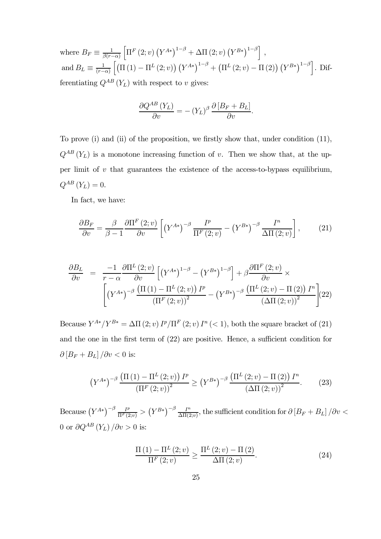where  $B_F \equiv \frac{1}{\beta(r-\alpha)}$  $\left[\Pi^F(2; v) (Y^{A*})^{1-\beta} + \Delta \Pi(2; v) (Y^{B*})^{1-\beta}\right],$ and  $B_L \equiv \frac{1}{(r-\alpha)}$  $\left[\left(\Pi\left(1\right)-\Pi^L\left(2; v\right)\right)\left(Y^{A*}\right)^{1-\beta}+\left(\Pi^L\left(2; v\right)-\Pi\left(2\right)\right)\left(Y^{B*}\right)^{1-\beta}\right].$  Differentiating  $Q^{AB}$  ( $Y_L$ ) with respect to v gives:

$$
\frac{\partial Q^{AB} (Y_L)}{\partial v} = - (Y_L)^{\beta} \frac{\partial [B_F + B_L]}{\partial v}.
$$

To prove (i) and (ii) of the proposition, we firstly show that, under condition (11),  $Q^{AB}$  (Y<sub>L</sub>) is a monotone increasing function of v. Then we show that, at the upper limit of  $v$  that guarantees the existence of the access-to-bypass equilibrium,  $Q^{AB}\left( Y_{L}\right) =0. \label{eq:QAB}$ 

In fact, we have:

$$
\frac{\partial B_F}{\partial v} = \frac{\beta}{\beta - 1} \frac{\partial \Pi^F (2; v)}{\partial v} \left[ \left( Y^{A*} \right)^{-\beta} \frac{I^p}{\Pi^F (2; v)} - \left( Y^{B*} \right)^{-\beta} \frac{I^n}{\Delta \Pi (2; v)} \right],\tag{21}
$$

$$
\frac{\partial B_L}{\partial v} = \frac{-1}{r - \alpha} \frac{\partial \Pi^L (2; v)}{\partial v} \left[ \left( Y^{A*} \right)^{1-\beta} - \left( Y^{B*} \right)^{1-\beta} \right] + \beta \frac{\partial \Pi^F (2; v)}{\partial v} \times \left[ \left( Y^{A*} \right)^{-\beta} \frac{\left( \Pi (1) - \Pi^L (2; v) \right) I^p}{\left( \Pi^F (2; v) \right)^2} - \left( Y^{B*} \right)^{-\beta} \frac{\left( \Pi^L (2; v) - \Pi (2) \right) I^n}{\left( \Delta \Pi (2; v) \right)^2} \right] (22)
$$

Because  $Y^{A*}/Y^{B*} = \Delta \Pi(2; v) I^p / \Pi^F(2; v) I^n(< 1)$ , both the square bracket of (21) and the one in the first term of (22) are positive. Hence, a sufficient condition for  $\partial \left[ B_F + B_L \right] / \partial v < 0$  is:

$$
\left(Y^{A*}\right)^{-\beta} \frac{\left(\Pi\left(1\right) - \Pi^L\left(2; v\right)\right) I^p}{\left(\Pi^F\left(2; v\right)\right)^2} \ge \left(Y^{B*}\right)^{-\beta} \frac{\left(\Pi^L\left(2; v\right) - \Pi\left(2\right)\right) I^n}{\left(\Delta\Pi\left(2; v\right)\right)^2}.\tag{23}
$$

 $\text{Because } (Y^{A*})^{-\beta}\frac{I^p}{\Pi^F(2;v)} > (Y^{B*})^{-\beta}\frac{I^n}{\Delta\Pi(2;v)}, \text{ the sufficient condition for } \partial \left[B_F + B_L\right]/\partial v < 0$ 0 or  $\partial Q^{AB}(Y_L)/\partial v > 0$  is:

$$
\frac{\Pi\left(1\right) - \Pi^{L}\left(2; v\right)}{\Pi^{F}\left(2; v\right)} \geq \frac{\Pi^{L}\left(2; v\right) - \Pi\left(2\right)}{\Delta \Pi\left(2; v\right)}.\tag{24}
$$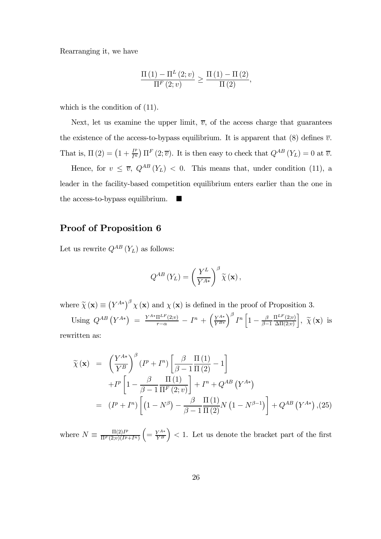Rearranging it, we have

$$
\frac{\Pi\left(1\right) - \Pi^{L}\left(2; v\right)}{\Pi^{F}\left(2; v\right)} \geq \frac{\Pi\left(1\right) - \Pi\left(2\right)}{\Pi\left(2\right)},
$$

which is the condition of  $(11)$ .

Next, let us examine the upper limit,  $\overline{v}$ , of the access charge that guarantees the existence of the access-to-bypass equilibrium. It is apparent that (8) defines  $\overline{v}$ . That is,  $\Pi(2) = \left(1 + \frac{I^p}{I^n}\right) \Pi^F(2; \overline{v})$ . It is then easy to check that  $Q^{AB}(Y_L) = 0$  at  $\overline{v}$ .

Hence, for  $v \leq \overline{v}$ ,  $Q^{AB}(Y_L) < 0$ . This means that, under condition (11), a leader in the facility-based competition equilibrium enters earlier than the one in the access-to-bypass equilibrium.

### Proof of Proposition 6

Let us rewrite  $Q^{AB}(Y_L)$  as follows:

$$
Q^{AB}\left(Y_L\right) = \left(\frac{Y^L}{Y^{A*}}\right)^{\beta} \widetilde{\chi}\left(\mathbf{x}\right),\,
$$

where  $\tilde{\chi}(\mathbf{x}) \equiv (Y^{A*})^{\beta} \chi(\mathbf{x})$  and  $\chi(\mathbf{x})$  is defined in the proof of Proposition 3.

Using  $Q^{AB} (Y^{A*}) = \frac{Y^{A*} \Pi^{LF}(2; v)}{r - \alpha} - I^{n} + \left(\frac{Y^{A*}}{Y^{B*}}\right)$  $\overline{Y^{B*}}$  $\int^{\beta} I^{n} \left[1 - \frac{\beta}{\beta - 1} \right]$  $\Pi^{LF}(2; v)$  $Δ\Pi(2; v)$  $\Big], \ \widetilde{\chi}(\mathbf{x}) \ \text{is}$ rewritten as:

$$
\widetilde{\chi}(\mathbf{x}) = \left(\frac{Y^{A*}}{Y^B}\right)^{\beta} (I^p + I^n) \left[\frac{\beta}{\beta - 1} \frac{\Pi(1)}{\Pi(2)} - 1\right] \n+ I^p \left[1 - \frac{\beta}{\beta - 1} \frac{\Pi(1)}{\Pi^F(2; v)}\right] + I^n + Q^{AB} (Y^{A*}) \n= (I^p + I^n) \left[ (1 - N^{\beta}) - \frac{\beta}{\beta - 1} \frac{\Pi(1)}{\Pi(2)} N \left(1 - N^{\beta - 1}\right) \right] + Q^{AB} (Y^{A*}) , (25)
$$

where  $N \equiv \frac{\Pi(2)I^p}{\Pi^F(2;v)(I^p)}$  $\Pi^{F}(2; v)(I^{p}+I^{n})$  $\left( = \frac{Y^{A*}}{Y^B} \right)$  $\Big)$  < 1. Let us denote the bracket part of the first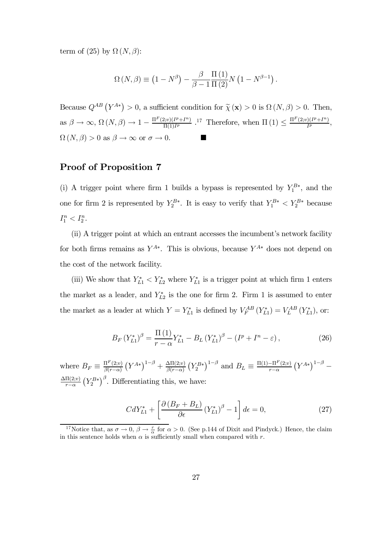term of (25) by  $\Omega (N, \beta)$ :

$$
\Omega\left(N,\beta\right) \equiv \left(1 - N^{\beta}\right) - \frac{\beta}{\beta - 1} \frac{\Pi\left(1\right)}{\Pi\left(2\right)} N\left(1 - N^{\beta - 1}\right).
$$

Because  $Q^{AB}(Y^{A*}) > 0$ , a sufficient condition for  $\tilde{\chi}(\mathbf{x}) > 0$  is  $\Omega(N, \beta) > 0$ . Then, as  $\beta \to \infty$ ,  $\Omega(N, \beta) \to 1 - \frac{\Pi^F(2; v)(I^p + I^n)}{\Pi(1)I^p}$ .<sup>17</sup> Therefore, when  $\Pi(1) \leq \frac{\Pi^F(2; v)(I^p + I^n)}{I^p}$ ,  $\Omega(N,\beta) > 0$  as  $\beta \to \infty$  or  $\sigma \to 0$ .

### Proof of Proposition 7

(i) A trigger point where firm 1 builds a bypass is represented by  $Y_1^{B*}$ , and the one for firm 2 is represented by  $Y_2^{B*}$ . It is easy to verify that  $Y_1^{B*} < Y_2^{B*}$  because  $I_1^n < I_2^n$ .

(ii) A trigger point at which an entrant accesses the incumbent's network facility for both firms remains as  $Y^{A*}$ . This is obvious, because  $Y^{A*}$  does not depend on the cost of the network facility.

(iii) We show that  $Y_{L1}^* < Y_{L2}^*$  where  $Y_{L1}^*$  is a trigger point at which firm 1 enters the market as a leader, and  $Y_{L2}^*$  is the one for firm 2. Firm 1 is assumed to enter the market as a leader at which  $Y = Y_{L1}^*$  is defined by  $V_F^{AB} (Y_{L1}^*) = V_L^{AB} (Y_{L1}^*),$  or:

$$
B_F (Y_{L1}^*)^{\beta} = \frac{\Pi (1)}{r - \alpha} Y_{L1}^* - B_L (Y_{L1}^*)^{\beta} - (I^p + I^n - \varepsilon), \qquad (26)
$$

where  $B_F \equiv \frac{\Pi^F(2;v)}{\beta(r-\alpha)}$  $\beta(r-\alpha)$  $(Y^{A*})^{1-\beta} + \frac{\Delta\Pi(2;v)}{\beta(r-\alpha)}$  $(Y_2^{B*})^{1-\beta}$  and  $B_L \equiv \frac{\Pi(1) - \Pi^F(2; v)}{r - \alpha}$  $r-\alpha$  $(Y^{A*})^{1-\beta}$  –  $Δ\Pi(2; v)$  $r-\alpha$  $(Y_2^{B*})^{\beta}$ . Differentiating this, we have:

$$
CdY_{L1}^* + \left[\frac{\partial \left(B_F + B_L\right)}{\partial \epsilon} \left(Y_{L1}^*\right)^{\beta} - 1\right] d\epsilon = 0,\tag{27}
$$

<sup>&</sup>lt;sup>17</sup>Notice that, as  $\sigma \to 0$ ,  $\beta \to \frac{r}{\alpha}$  for  $\alpha > 0$ . (See p.144 of Dixit and Pindyck.) Hence, the claim in this sentence holds when  $\alpha$  is sufficiently small when compared with r.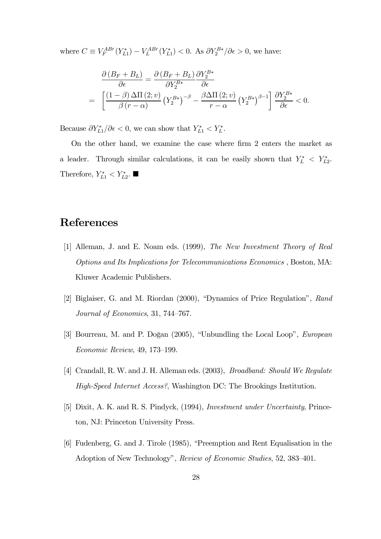where  $C \equiv V_F^{AB} (Y_{L1}^*) - V_L^{AB} (Y_{L1}^*) < 0$ . As  $\partial Y_2^{B*} / \partial \epsilon > 0$ , we have:

$$
\frac{\partial (B_F + B_L)}{\partial \epsilon} = \frac{\partial (B_F + B_L)}{\partial Y_2^{B*}} \frac{\partial Y_2^{B*}}{\partial \epsilon}
$$
  
= 
$$
\left[ \frac{(1 - \beta) \Delta \Pi (2; v)}{\beta (r - \alpha)} (Y_2^{B*})^{-\beta} - \frac{\beta \Delta \Pi (2; v)}{r - \alpha} (Y_2^{B*})^{\beta - 1} \right] \frac{\partial Y_2^{B*}}{\partial \epsilon} < 0.
$$

Because  $\partial Y_{L1}^* / \partial \epsilon < 0$ , we can show that  $Y_{L1}^* < Y_L^*$ .

On the other hand, we examine the case where firm 2 enters the market as a leader. Through similar calculations, it can be easily shown that  $Y_L^* \leq Y_{L2}^*$ . Therefore,  $Y_{L1}^* < Y_{L2}^*$ .

# References

- [1] Alleman, J. and E. Noam eds. (1999), The New Investment Theory of Real Options and Its Implications for Telecommunications Economics , Boston, MA: Kluwer Academic Publishers.
- [2] Biglaiser, G. and M. Riordan (2000), "Dynamics of Price Regulation", Rand Journal of Economics, 31, 744—767.
- [3] Bourreau, M. and P. Doğan (2005), "Unbundling the Local Loop", *European* Economic Review, 49, 173—199.
- [4] Crandall, R. W. and J. H. Alleman eds. (2003), Broadband: Should We Regulate High-Speed Internet Access?, Washington DC: The Brookings Institution.
- [5] Dixit, A. K. and R. S. Pindyck, (1994), Investment under Uncertainty, Princeton, NJ: Princeton University Press.
- [6] Fudenberg, G. and J. Tirole (1985), "Preemption and Rent Equalisation in the Adoption of New Technology", Review of Economic Studies, 52, 383—401.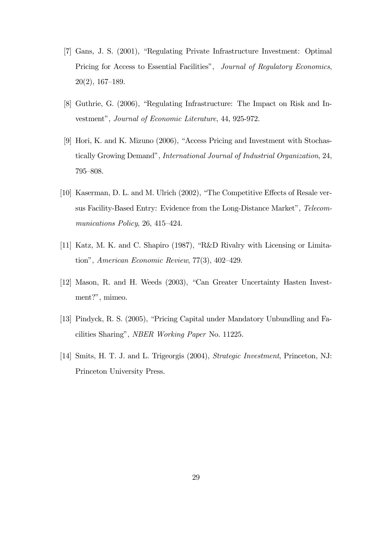- [7] Gans, J. S. (2001), "Regulating Private Infrastructure Investment: Optimal Pricing for Access to Essential Facilities", Journal of Regulatory Economics, 20(2), 167—189.
- [8] Guthrie, G. (2006), "Regulating Infrastructure: The Impact on Risk and Investment", Journal of Economic Literature, 44, 925-972.
- [9] Hori, K. and K. Mizuno (2006), "Access Pricing and Investment with Stochastically Growing Demand", International Journal of Industrial Organization, 24, 795—808.
- [10] Kaserman, D. L. and M. Ulrich (2002), "The Competitive Effects of Resale versus Facility-Based Entry: Evidence from the Long-Distance Market", Telecommunications Policy, 26, 415—424.
- [11] Katz, M. K. and C. Shapiro (1987), "R&D Rivalry with Licensing or Limitation", American Economic Review, 77(3), 402—429.
- [12] Mason, R. and H. Weeds (2003), "Can Greater Uncertainty Hasten Investment?", mimeo.
- [13] Pindyck, R. S. (2005), "Pricing Capital under Mandatory Unbundling and Facilities Sharing", NBER Working Paper No. 11225.
- [14] Smits, H. T. J. and L. Trigeorgis (2004), Strategic Investment, Princeton, NJ: Princeton University Press.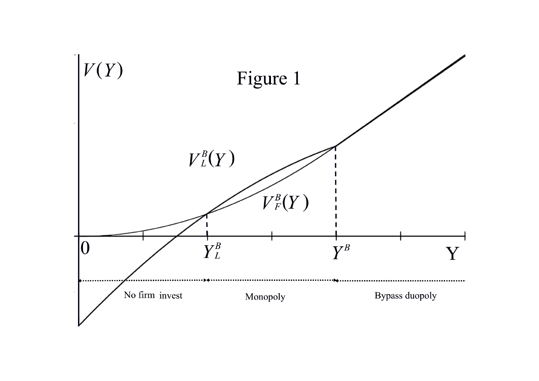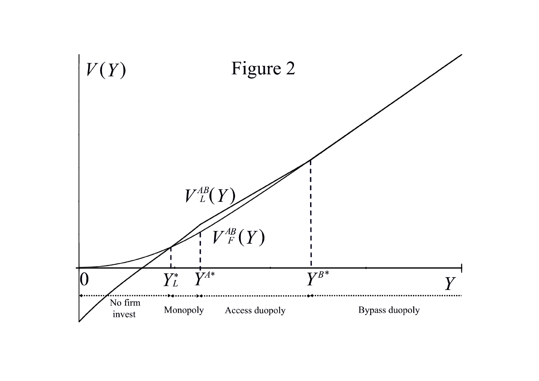